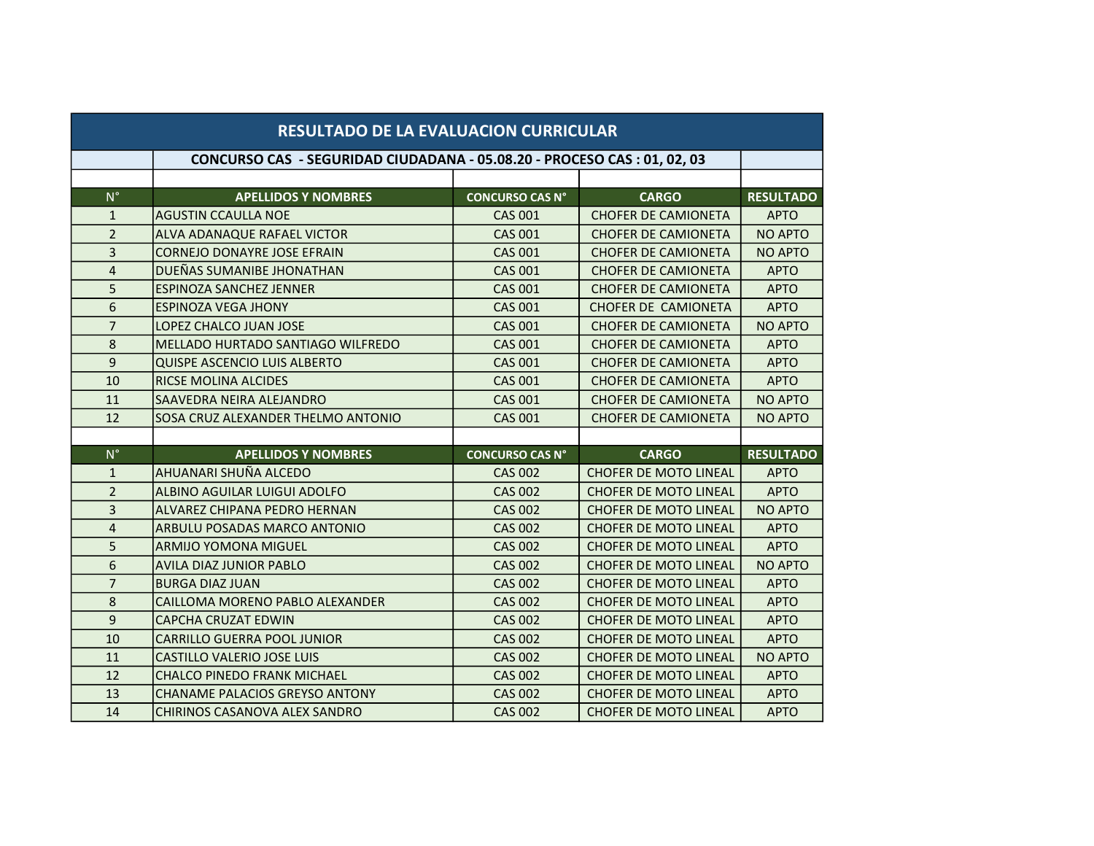| <b>RESULTADO DE LA EVALUACION CURRICULAR</b> |                                                                          |                        |                              |                  |
|----------------------------------------------|--------------------------------------------------------------------------|------------------------|------------------------------|------------------|
|                                              | CONCURSO CAS - SEGURIDAD CIUDADANA - 05.08.20 - PROCESO CAS : 01, 02, 03 |                        |                              |                  |
|                                              |                                                                          |                        |                              |                  |
| $N^{\circ}$                                  | <b>APELLIDOS Y NOMBRES</b>                                               | <b>CONCURSO CAS N°</b> | <b>CARGO</b>                 | <b>RESULTADO</b> |
| $\mathbf{1}$                                 | <b>AGUSTIN CCAULLA NOE</b>                                               | <b>CAS 001</b>         | <b>CHOFER DE CAMIONETA</b>   | <b>APTO</b>      |
| $\overline{2}$                               | ALVA ADANAQUE RAFAEL VICTOR                                              | <b>CAS 001</b>         | <b>CHOFER DE CAMIONETA</b>   | <b>NO APTO</b>   |
| 3                                            | <b>CORNEJO DONAYRE JOSE EFRAIN</b>                                       | <b>CAS 001</b>         | <b>CHOFER DE CAMIONETA</b>   | <b>NO APTO</b>   |
| 4                                            | DUEÑAS SUMANIBE JHONATHAN                                                | <b>CAS 001</b>         | <b>CHOFER DE CAMIONETA</b>   | <b>APTO</b>      |
| 5                                            | <b>ESPINOZA SANCHEZ JENNER</b>                                           | <b>CAS 001</b>         | <b>CHOFER DE CAMIONETA</b>   | <b>APTO</b>      |
| 6                                            | <b>ESPINOZA VEGA JHONY</b>                                               | <b>CAS 001</b>         | <b>CHOFER DE CAMIONETA</b>   | <b>APTO</b>      |
| $\overline{7}$                               | LOPEZ CHALCO JUAN JOSE                                                   | <b>CAS 001</b>         | <b>CHOFER DE CAMIONETA</b>   | <b>NO APTO</b>   |
| 8                                            | <b>MELLADO HURTADO SANTIAGO WILFREDO</b>                                 | <b>CAS 001</b>         | <b>CHOFER DE CAMIONETA</b>   | <b>APTO</b>      |
| 9                                            | QUISPE ASCENCIO LUIS ALBERTO                                             | <b>CAS 001</b>         | <b>CHOFER DE CAMIONETA</b>   | <b>APTO</b>      |
| 10                                           | <b>RICSE MOLINA ALCIDES</b>                                              | <b>CAS 001</b>         | <b>CHOFER DE CAMIONETA</b>   | <b>APTO</b>      |
| 11                                           | SAAVEDRA NEIRA ALEJANDRO                                                 | <b>CAS 001</b>         | <b>CHOFER DE CAMIONETA</b>   | <b>NO APTO</b>   |
| 12                                           | SOSA CRUZ ALEXANDER THELMO ANTONIO                                       | <b>CAS 001</b>         | <b>CHOFER DE CAMIONETA</b>   | <b>NO APTO</b>   |
|                                              |                                                                          |                        |                              |                  |
| $N^{\circ}$                                  | <b>APELLIDOS Y NOMBRES</b>                                               | <b>CONCURSO CAS N°</b> | <b>CARGO</b>                 | <b>RESULTADO</b> |
| $\mathbf{1}$                                 | AHUANARI SHUÑA ALCEDO                                                    | <b>CAS 002</b>         | <b>CHOFER DE MOTO LINEAL</b> | <b>APTO</b>      |
| $\overline{2}$                               | ALBINO AGUILAR LUIGUI ADOLFO                                             | <b>CAS 002</b>         | <b>CHOFER DE MOTO LINEAL</b> | <b>APTO</b>      |
| $\overline{3}$                               | ALVAREZ CHIPANA PEDRO HERNAN                                             | <b>CAS 002</b>         | <b>CHOFER DE MOTO LINEAL</b> | <b>NO APTO</b>   |
| $\overline{4}$                               | ARBULU POSADAS MARCO ANTONIO                                             | <b>CAS 002</b>         | <b>CHOFER DE MOTO LINEAL</b> | <b>APTO</b>      |
| 5                                            | <b>ARMIJO YOMONA MIGUEL</b>                                              | <b>CAS 002</b>         | <b>CHOFER DE MOTO LINEAL</b> | <b>APTO</b>      |
| 6                                            | <b>AVILA DIAZ JUNIOR PABLO</b>                                           | <b>CAS 002</b>         | <b>CHOFER DE MOTO LINEAL</b> | <b>NO APTO</b>   |
| $\overline{7}$                               | <b>BURGA DIAZ JUAN</b>                                                   | <b>CAS 002</b>         | <b>CHOFER DE MOTO LINEAL</b> | <b>APTO</b>      |
| $\bf 8$                                      | CAILLOMA MORENO PABLO ALEXANDER                                          | <b>CAS 002</b>         | <b>CHOFER DE MOTO LINEAL</b> | <b>APTO</b>      |
| 9                                            | <b>CAPCHA CRUZAT EDWIN</b>                                               | <b>CAS 002</b>         | <b>CHOFER DE MOTO LINEAL</b> | <b>APTO</b>      |
| 10                                           | <b>CARRILLO GUERRA POOL JUNIOR</b>                                       | <b>CAS 002</b>         | <b>CHOFER DE MOTO LINEAL</b> | <b>APTO</b>      |
| 11                                           | <b>CASTILLO VALERIO JOSE LUIS</b>                                        | <b>CAS 002</b>         | <b>CHOFER DE MOTO LINEAL</b> | <b>NO APTO</b>   |
| 12                                           | <b>CHALCO PINEDO FRANK MICHAEL</b>                                       | <b>CAS 002</b>         | <b>CHOFER DE MOTO LINEAL</b> | <b>APTO</b>      |
| 13                                           | <b>CHANAME PALACIOS GREYSO ANTONY</b>                                    | <b>CAS 002</b>         | <b>CHOFER DE MOTO LINEAL</b> | <b>APTO</b>      |
| 14                                           | <b>CHIRINOS CASANOVA ALEX SANDRO</b>                                     | <b>CAS 002</b>         | <b>CHOFER DE MOTO LINEAL</b> | <b>APTO</b>      |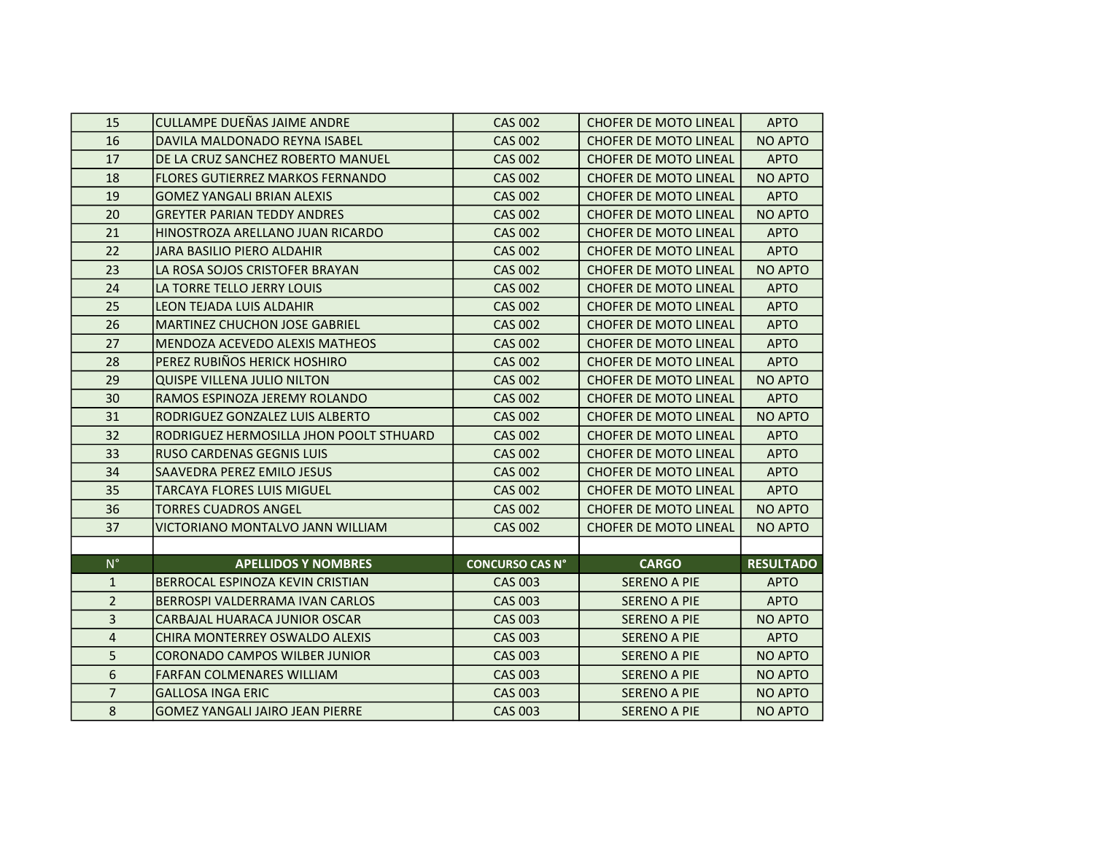| 15                      | CULLAMPE DUEÑAS JAIME ANDRE             | <b>CAS 002</b>         | <b>CHOFER DE MOTO LINEAL</b> | <b>APTO</b>      |
|-------------------------|-----------------------------------------|------------------------|------------------------------|------------------|
| 16                      | DAVILA MALDONADO REYNA ISABEL           | <b>CAS 002</b>         | <b>CHOFER DE MOTO LINEAL</b> | <b>NO APTO</b>   |
| 17                      | DE LA CRUZ SANCHEZ ROBERTO MANUEL       | <b>CAS 002</b>         | <b>CHOFER DE MOTO LINEAL</b> | <b>APTO</b>      |
| 18                      | <b>FLORES GUTIERREZ MARKOS FERNANDO</b> | <b>CAS 002</b>         | <b>CHOFER DE MOTO LINEAL</b> | <b>NO APTO</b>   |
| 19                      | <b>GOMEZ YANGALI BRIAN ALEXIS</b>       | <b>CAS 002</b>         | <b>CHOFER DE MOTO LINEAL</b> | <b>APTO</b>      |
| 20                      | <b>GREYTER PARIAN TEDDY ANDRES</b>      | <b>CAS 002</b>         | <b>CHOFER DE MOTO LINEAL</b> | <b>NO APTO</b>   |
| 21                      | HINOSTROZA ARELLANO JUAN RICARDO        | <b>CAS 002</b>         | <b>CHOFER DE MOTO LINEAL</b> | <b>APTO</b>      |
| 22                      | <b>JARA BASILIO PIERO ALDAHIR</b>       | <b>CAS 002</b>         | <b>CHOFER DE MOTO LINEAL</b> | <b>APTO</b>      |
| 23                      | LA ROSA SOJOS CRISTOFER BRAYAN          | <b>CAS 002</b>         | <b>CHOFER DE MOTO LINEAL</b> | <b>NO APTO</b>   |
| 24                      | LA TORRE TELLO JERRY LOUIS              | <b>CAS 002</b>         | <b>CHOFER DE MOTO LINEAL</b> | <b>APTO</b>      |
| 25                      | LEON TEJADA LUIS ALDAHIR                | <b>CAS 002</b>         | <b>CHOFER DE MOTO LINEAL</b> | <b>APTO</b>      |
| 26                      | <b>MARTINEZ CHUCHON JOSE GABRIEL</b>    | <b>CAS 002</b>         | <b>CHOFER DE MOTO LINEAL</b> | <b>APTO</b>      |
| 27                      | MENDOZA ACEVEDO ALEXIS MATHEOS          | <b>CAS 002</b>         | <b>CHOFER DE MOTO LINEAL</b> | <b>APTO</b>      |
| 28                      | PEREZ RUBIÑOS HERICK HOSHIRO            | <b>CAS 002</b>         | <b>CHOFER DE MOTO LINEAL</b> | <b>APTO</b>      |
| 29                      | <b>QUISPE VILLENA JULIO NILTON</b>      | <b>CAS 002</b>         | <b>CHOFER DE MOTO LINEAL</b> | <b>NO APTO</b>   |
| 30                      | RAMOS ESPINOZA JEREMY ROLANDO           | <b>CAS 002</b>         | <b>CHOFER DE MOTO LINEAL</b> | <b>APTO</b>      |
| 31                      | RODRIGUEZ GONZALEZ LUIS ALBERTO         | <b>CAS 002</b>         | <b>CHOFER DE MOTO LINEAL</b> | <b>NO APTO</b>   |
| 32                      | RODRIGUEZ HERMOSILLA JHON POOLT STHUARD | <b>CAS 002</b>         | <b>CHOFER DE MOTO LINEAL</b> | <b>APTO</b>      |
| 33                      | RUSO CARDENAS GEGNIS LUIS               | <b>CAS 002</b>         | <b>CHOFER DE MOTO LINEAL</b> | <b>APTO</b>      |
| 34                      | <b>SAAVEDRA PEREZ EMILO JESUS</b>       | <b>CAS 002</b>         | <b>CHOFER DE MOTO LINEAL</b> | <b>APTO</b>      |
| 35                      | <b>TARCAYA FLORES LUIS MIGUEL</b>       | <b>CAS 002</b>         | <b>CHOFER DE MOTO LINEAL</b> | <b>APTO</b>      |
| 36                      | <b>TORRES CUADROS ANGEL</b>             | <b>CAS 002</b>         | <b>CHOFER DE MOTO LINEAL</b> | <b>NO APTO</b>   |
| 37                      | VICTORIANO MONTALVO JANN WILLIAM        | <b>CAS 002</b>         | <b>CHOFER DE MOTO LINEAL</b> | <b>NO APTO</b>   |
|                         |                                         |                        |                              |                  |
| $N^{\circ}$             | <b>APELLIDOS Y NOMBRES</b>              | <b>CONCURSO CAS N°</b> | <b>CARGO</b>                 | <b>RESULTADO</b> |
| $\mathbf{1}$            | BERROCAL ESPINOZA KEVIN CRISTIAN        | <b>CAS 003</b>         | <b>SERENO A PIE</b>          | <b>APTO</b>      |
| $\overline{2}$          | BERROSPI VALDERRAMA IVAN CARLOS         | <b>CAS 003</b>         | <b>SERENO A PIE</b>          | <b>APTO</b>      |
| $\overline{3}$          | CARBAJAL HUARACA JUNIOR OSCAR           | <b>CAS 003</b>         | <b>SERENO A PIE</b>          | <b>NO APTO</b>   |
| $\overline{\mathbf{4}}$ | CHIRA MONTERREY OSWALDO ALEXIS          | <b>CAS 003</b>         | <b>SERENO A PIE</b>          | <b>APTO</b>      |
| 5                       | <b>CORONADO CAMPOS WILBER JUNIOR</b>    | <b>CAS 003</b>         | <b>SERENO A PIE</b>          | <b>NO APTO</b>   |
| $6\phantom{a}$          | <b>FARFAN COLMENARES WILLIAM</b>        | <b>CAS 003</b>         | <b>SERENO A PIE</b>          | NO APTO          |
| $\overline{7}$          | <b>GALLOSA INGA ERIC</b>                | <b>CAS 003</b>         | <b>SERENO A PIE</b>          | <b>NO APTO</b>   |
| 8                       | <b>GOMEZ YANGALI JAIRO JEAN PIERRE</b>  | <b>CAS 003</b>         | <b>SERENO A PIE</b>          | <b>NO APTO</b>   |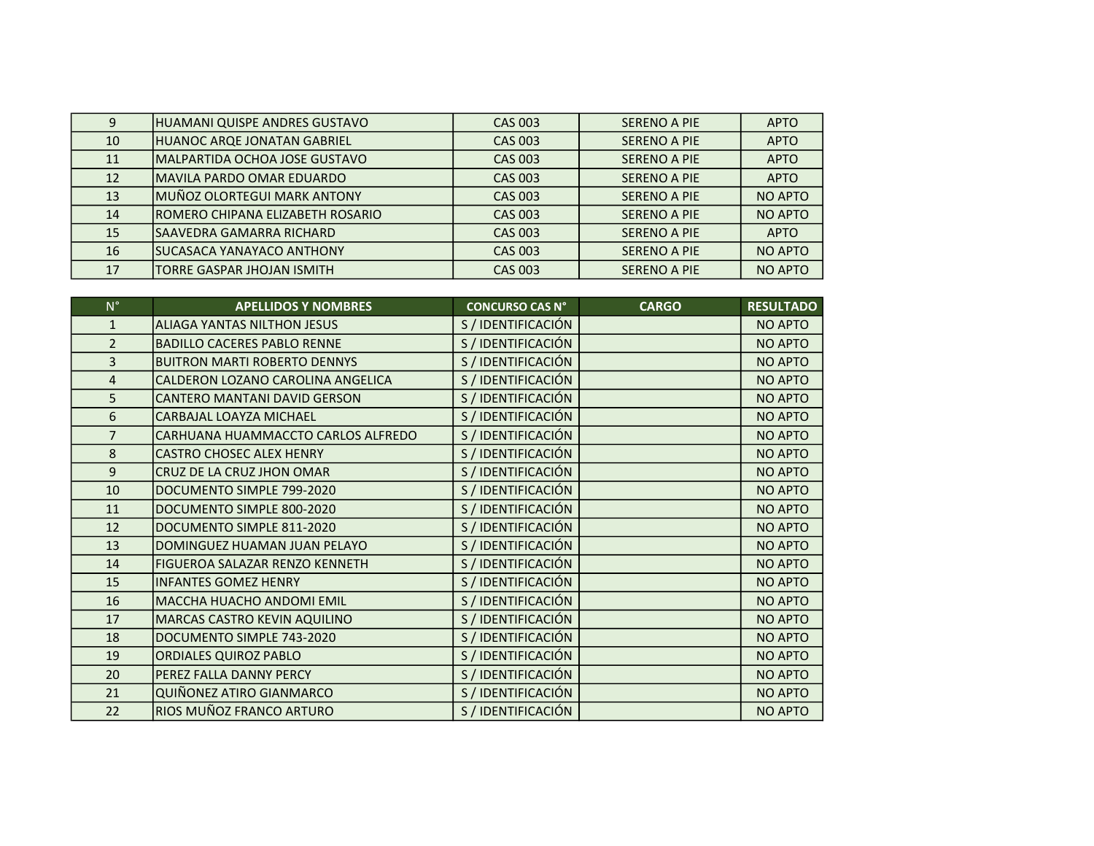| 9  | <b>IHUAMANI QUISPE ANDRES GUSTAVO</b> | <b>CAS 003</b> | <b>SERENO A PIE</b> | <b>APTO</b>    |
|----|---------------------------------------|----------------|---------------------|----------------|
| 10 | HUANOC ARQE JONATAN GABRIEL           | <b>CAS 003</b> | SERENO A PIE        | <b>APTO</b>    |
| 11 | lMALPARTIDA OCHOA JOSE GUSTAVO        | <b>CAS 003</b> | <b>SERENO A PIE</b> | <b>APTO</b>    |
| 12 | IMAVILA PARDO OMAR EDUARDO            | <b>CAS 003</b> | <b>SERENO A PIE</b> | <b>APTO</b>    |
| 13 | MUÑOZ OLORTEGUI MARK ANTONY           | <b>CAS 003</b> | <b>SERENO A PIE</b> | NO APTO        |
| 14 | IROMERO CHIPANA ELIZABETH ROSARIO     | CAS 003        | <b>SERENO A PIE</b> | NO APTO        |
| 15 | ISAAVEDRA GAMARRA RICHARD             | CAS 003        | <b>SERENO A PIE</b> | <b>APTO</b>    |
| 16 | ISUCASACA YANAYACO ANTHONY            | CAS 003        | <b>SERENO A PIE</b> | NO APTO        |
| 17 | TORRE GASPAR JHOJAN ISMITH            | <b>CAS 003</b> | <b>SERENO A PIE</b> | <b>NO APTO</b> |

| $N^{\circ}$    | <b>APELLIDOS Y NOMBRES</b>          | <b>CONCURSO CAS N°</b> | <b>CARGO</b> | <b>RESULTADO</b> |
|----------------|-------------------------------------|------------------------|--------------|------------------|
| $\mathbf{1}$   | <b>ALIAGA YANTAS NILTHON JESUS</b>  | S / IDENTIFICACIÓN     |              | NO APTO          |
| $\overline{2}$ | <b>BADILLO CACERES PABLO RENNE</b>  | S / IDENTIFICACIÓN     |              | NO APTO          |
| $\overline{3}$ | <b>BUITRON MARTI ROBERTO DENNYS</b> | S / IDENTIFICACIÓN     |              | NO APTO          |
| $\overline{4}$ | CALDERON LOZANO CAROLINA ANGELICA   | S / IDENTIFICACIÓN     |              | NO APTO          |
| 5              | CANTERO MANTANI DAVID GERSON        | S / IDENTIFICACIÓN     |              | NO APTO          |
| 6              | CARBAJAL LOAYZA MICHAEL             | S / IDENTIFICACIÓN     |              | NO APTO          |
| $\overline{7}$ | CARHUANA HUAMMACCTO CARLOS ALFREDO  | S / IDENTIFICACIÓN     |              | <b>NO APTO</b>   |
| 8              | <b>CASTRO CHOSEC ALEX HENRY</b>     | S / IDENTIFICACIÓN     |              | NO APTO          |
| 9              | CRUZ DE LA CRUZ JHON OMAR           | S / IDENTIFICACIÓN     |              | NO APTO          |
| 10             | DOCUMENTO SIMPLE 799-2020           | S / IDENTIFICACIÓN     |              | NO APTO          |
| 11             | DOCUMENTO SIMPLE 800-2020           | S / IDENTIFICACIÓN     |              | NO APTO          |
| 12             | DOCUMENTO SIMPLE 811-2020           | S / IDENTIFICACIÓN     |              | NO APTO          |
| 13             | DOMINGUEZ HUAMAN JUAN PELAYO        | S / IDENTIFICACIÓN     |              | NO APTO          |
| 14             | FIGUEROA SALAZAR RENZO KENNETH      | S / IDENTIFICACIÓN     |              | NO APTO          |
| 15             | <b>INFANTES GOMEZ HENRY</b>         | S / IDENTIFICACIÓN     |              | <b>NO APTO</b>   |
| 16             | MACCHA HUACHO ANDOMI EMIL           | S / IDENTIFICACIÓN     |              | NO APTO          |
| 17             | MARCAS CASTRO KEVIN AQUILINO        | S / IDENTIFICACIÓN     |              | <b>NO APTO</b>   |
| 18             | DOCUMENTO SIMPLE 743-2020           | S / IDENTIFICACIÓN     |              | NO APTO          |
| 19             | <b>ORDIALES QUIROZ PABLO</b>        | S / IDENTIFICACIÓN     |              | NO APTO          |
| 20             | PEREZ FALLA DANNY PERCY             | S / IDENTIFICACIÓN     |              | NO APTO          |
| 21             | QUIÑONEZ ATIRO GIANMARCO            | S / IDENTIFICACIÓN     |              | NO APTO          |
| 22             | RIOS MUÑOZ FRANCO ARTURO            | S / IDENTIFICACIÓN     |              | NO APTO          |